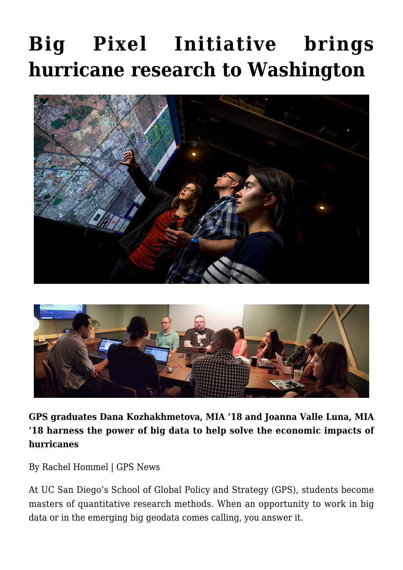## **[Big Pixel Initiative brings](https://gpsnews.ucsd.edu/big-pixel-initiative-brings-hurricane-research-to-washington/) [hurricane research to Washington](https://gpsnews.ucsd.edu/big-pixel-initiative-brings-hurricane-research-to-washington/)**





**GPS graduates Dana Kozhakhmetova, MIA '18 and Joanna Valle Luna, MIA '18 harness the power of big data to help solve the economic impacts of hurricanes**

By Rachel Hommel | GPS News

At UC San Diego's School of Global Policy and Strategy (GPS), students become masters of quantitative research methods. When an opportunity to work in big data or in the emerging big geodata comes calling, you answer it.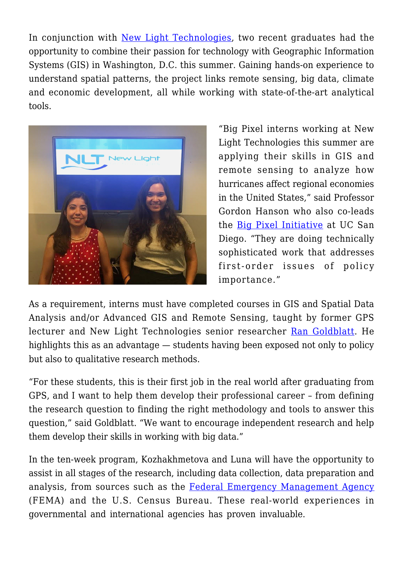In conjunction with [New Light Technologies](https://newlighttechnologies.com/), two recent graduates had the opportunity to combine their passion for technology with Geographic Information Systems (GIS) in Washington, D.C. this summer. Gaining hands-on experience to understand spatial patterns, the project links remote sensing, big data, climate and economic development, all while working with state-of-the-art analytical tools.



"Big Pixel interns working at New Light Technologies this summer are applying their skills in GIS and remote sensing to analyze how hurricanes affect regional economies in the United States," said Professor Gordon Hanson who also co-leads the [Big Pixel Initiative](http://bigpixel.ucsd.edu/) at UC San Diego. "They are doing technically sophisticated work that addresses first-order issues of policy importance."

As a requirement, interns must have completed courses in GIS and Spatial Data Analysis and/or Advanced GIS and Remote Sensing, taught by former GPS lecturer and New Light Technologies senior researcher [Ran Goldblatt.](http://bigpixel.ucsd.edu/people.html) He highlights this as an advantage — students having been exposed not only to policy but also to qualitative research methods.

"For these students, this is their first job in the real world after graduating from GPS, and I want to help them develop their professional career – from defining the research question to finding the right methodology and tools to answer this question," said Goldblatt. "We want to encourage independent research and help them develop their skills in working with big data."

In the ten-week program, Kozhakhmetova and Luna will have the opportunity to assist in all stages of the research, including data collection, data preparation and analysis, from sources such as the [Federal Emergency Management Agency](https://www.fema.gov/) (FEMA) and the U.S. Census Bureau. These real-world experiences in governmental and international agencies has proven invaluable.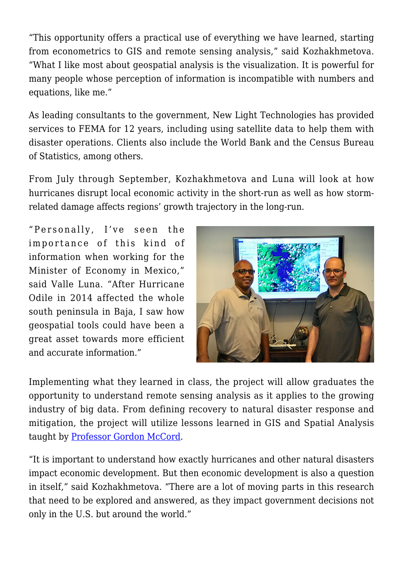"This opportunity offers a practical use of everything we have learned, starting from econometrics to GIS and remote sensing analysis," said Kozhakhmetova. "What I like most about geospatial analysis is the visualization. It is powerful for many people whose perception of information is incompatible with numbers and equations, like me."

As leading consultants to the government, New Light Technologies has provided services to FEMA for 12 years, including using satellite data to help them with disaster operations. Clients also include the World Bank and the Census Bureau of Statistics, among others.

From July through September, Kozhakhmetova and Luna will look at how hurricanes disrupt local economic activity in the short-run as well as how stormrelated damage affects regions' growth trajectory in the long-run.

"Personally, I've seen the importance of this kind of information when working for the Minister of Economy in Mexico," said Valle Luna. "After Hurricane Odile in 2014 affected the whole south peninsula in Baja, I saw how geospatial tools could have been a great asset towards more efficient and accurate information."



Implementing what they learned in class, the project will allow graduates the opportunity to understand remote sensing analysis as it applies to the growing industry of big data. From defining recovery to natural disaster response and mitigation, the project will utilize lessons learned in GIS and Spatial Analysis taught by [Professor Gordon McCord.](https://gps.ucsd.edu/faculty-directory/gordon-mccord.html)

"It is important to understand how exactly hurricanes and other natural disasters impact economic development. But then economic development is also a question in itself," said Kozhakhmetova. "There are a lot of moving parts in this research that need to be explored and answered, as they impact government decisions not only in the U.S. but around the world."